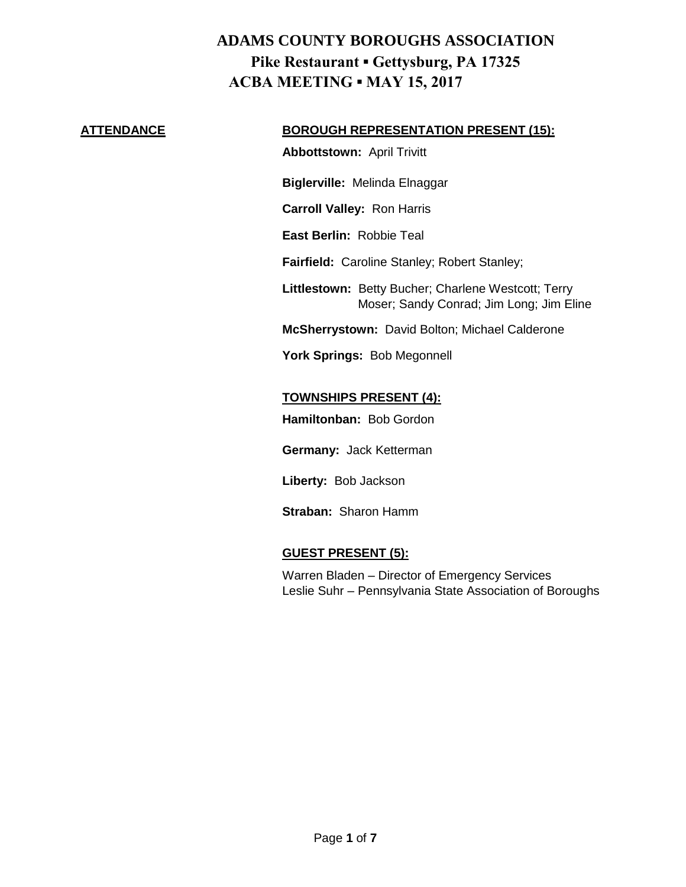#### **ATTENDANCE BOROUGH REPRESENTATION PRESENT (15):**

**Abbottstown:** April Trivitt

**Biglerville:** Melinda Elnaggar

**Carroll Valley:** Ron Harris

**East Berlin:** Robbie Teal

**Fairfield:** Caroline Stanley; Robert Stanley;

**Littlestown:** Betty Bucher; Charlene Westcott; Terry Moser; Sandy Conrad; Jim Long; Jim Eline

**McSherrystown:** David Bolton; Michael Calderone

**York Springs:** Bob Megonnell

### **TOWNSHIPS PRESENT (4):**

**Hamiltonban:** Bob Gordon

**Germany:** Jack Ketterman

**Liberty:** Bob Jackson

**Straban:** Sharon Hamm

#### **GUEST PRESENT (5):**

Warren Bladen – Director of Emergency Services Leslie Suhr – Pennsylvania State Association of Boroughs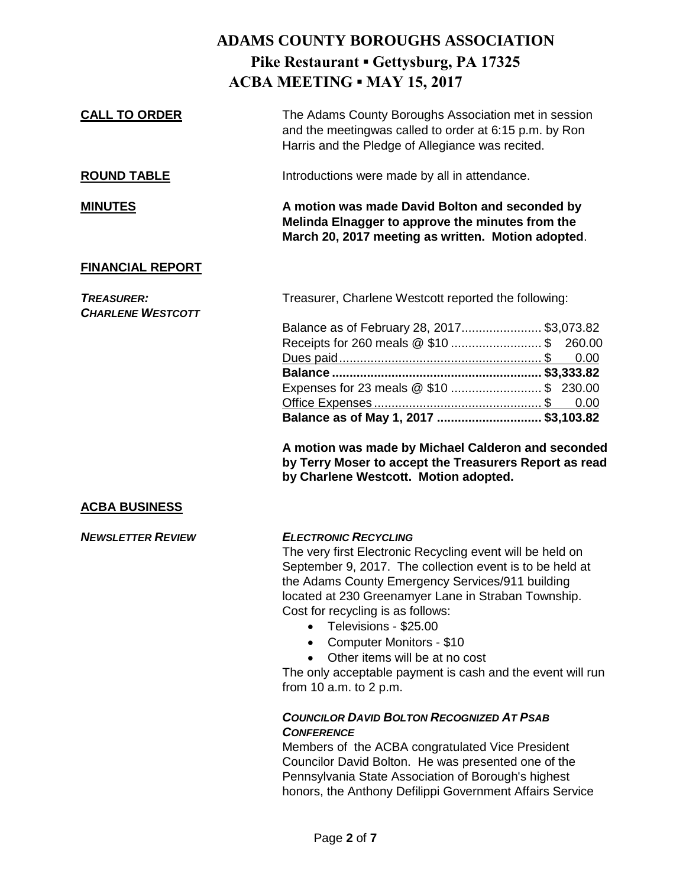| <b>CALL TO ORDER</b>                          | The Adams County Boroughs Association met in session<br>and the meetingwas called to order at 6:15 p.m. by Ron<br>Harris and the Pledge of Allegiance was recited.                                                                                                                                                                                                                                                                                                                                            |  |
|-----------------------------------------------|---------------------------------------------------------------------------------------------------------------------------------------------------------------------------------------------------------------------------------------------------------------------------------------------------------------------------------------------------------------------------------------------------------------------------------------------------------------------------------------------------------------|--|
| <b>ROUND TABLE</b>                            | Introductions were made by all in attendance.                                                                                                                                                                                                                                                                                                                                                                                                                                                                 |  |
| <b>MINUTES</b>                                | A motion was made David Bolton and seconded by<br>Melinda Elnagger to approve the minutes from the<br>March 20, 2017 meeting as written. Motion adopted.                                                                                                                                                                                                                                                                                                                                                      |  |
| <b>FINANCIAL REPORT</b>                       |                                                                                                                                                                                                                                                                                                                                                                                                                                                                                                               |  |
| <b>TREASURER:</b><br><b>CHARLENE WESTCOTT</b> | Treasurer, Charlene Westcott reported the following:                                                                                                                                                                                                                                                                                                                                                                                                                                                          |  |
|                                               | Balance as of February 28, 2017\$3,073.82<br>Receipts for 260 meals @ \$10  \$<br>260.00<br>0.00                                                                                                                                                                                                                                                                                                                                                                                                              |  |
|                                               | Expenses for 23 meals @ \$10  \$ 230.00<br>0.00<br>Balance as of May 1, 2017  \$3,103.82                                                                                                                                                                                                                                                                                                                                                                                                                      |  |
|                                               | A motion was made by Michael Calderon and seconded<br>by Terry Moser to accept the Treasurers Report as read<br>by Charlene Westcott. Motion adopted.                                                                                                                                                                                                                                                                                                                                                         |  |
| <b>ACBA BUSINESS</b>                          |                                                                                                                                                                                                                                                                                                                                                                                                                                                                                                               |  |
| <b>NEWSLETTER REVIEW</b>                      | <b>ELECTRONIC RECYCLING</b><br>The very first Electronic Recycling event will be held on<br>September 9, 2017. The collection event is to be held at<br>the Adams County Emergency Services/911 building<br>located at 230 Greenamyer Lane in Straban Township.<br>Cost for recycling is as follows:<br>Televisions - \$25.00<br>$\bullet$<br>Computer Monitors - \$10<br>$\bullet$<br>Other items will be at no cost<br>The only acceptable payment is cash and the event will run<br>from 10 a.m. to 2 p.m. |  |
|                                               | <b>COUNCILOR DAVID BOLTON RECOGNIZED AT PSAB</b><br><b>CONFERENCE</b><br>Members of the ACBA congratulated Vice President<br>Councilor David Bolton. He was presented one of the<br>Pennsylvania State Association of Borough's highest<br>honors, the Anthony Defilippi Government Affairs Service                                                                                                                                                                                                           |  |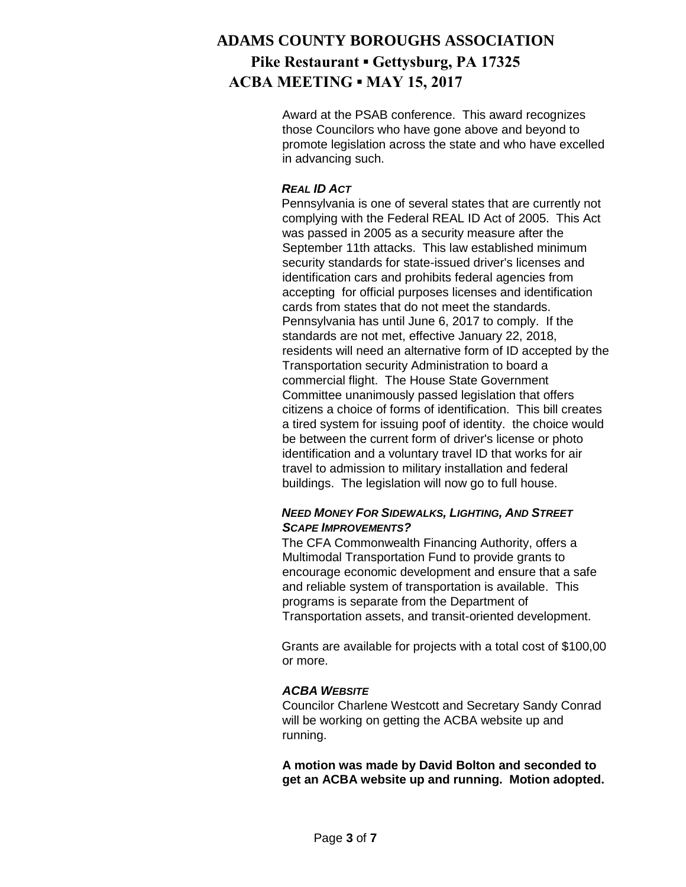Award at the PSAB conference. This award recognizes those Councilors who have gone above and beyond to promote legislation across the state and who have excelled in advancing such.

#### *REAL ID ACT*

Pennsylvania is one of several states that are currently not complying with the Federal REAL ID Act of 2005. This Act was passed in 2005 as a security measure after the September 11th attacks. This law established minimum security standards for state-issued driver's licenses and identification cars and prohibits federal agencies from accepting for official purposes licenses and identification cards from states that do not meet the standards. Pennsylvania has until June 6, 2017 to comply. If the standards are not met, effective January 22, 2018, residents will need an alternative form of ID accepted by the Transportation security Administration to board a commercial flight. The House State Government Committee unanimously passed legislation that offers citizens a choice of forms of identification. This bill creates a tired system for issuing poof of identity. the choice would be between the current form of driver's license or photo identification and a voluntary travel ID that works for air travel to admission to military installation and federal buildings. The legislation will now go to full house.

#### *NEED MONEY FOR SIDEWALKS, LIGHTING, AND STREET SCAPE IMPROVEMENTS?*

The CFA Commonwealth Financing Authority, offers a Multimodal Transportation Fund to provide grants to encourage economic development and ensure that a safe and reliable system of transportation is available. This programs is separate from the Department of Transportation assets, and transit-oriented development.

Grants are available for projects with a total cost of \$100,00 or more.

#### *ACBA WEBSITE*

Councilor Charlene Westcott and Secretary Sandy Conrad will be working on getting the ACBA website up and running.

**A motion was made by David Bolton and seconded to get an ACBA website up and running. Motion adopted.**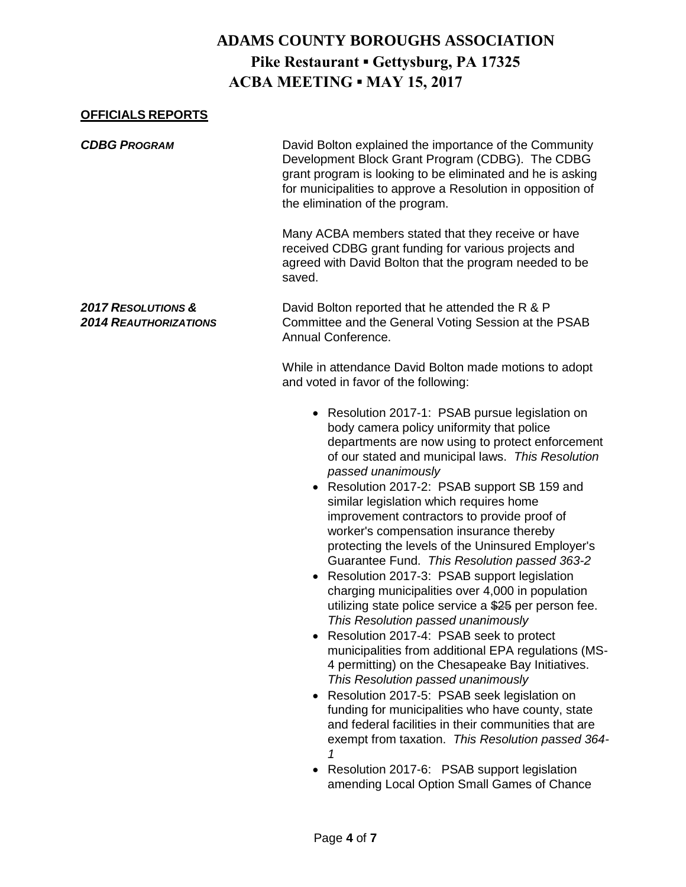### **OFFICIALS REPORTS**

| <b>CDBG PROGRAM</b>                                           | David Bolton explained the importance of the Community<br>Development Block Grant Program (CDBG). The CDBG<br>grant program is looking to be eliminated and he is asking<br>for municipalities to approve a Resolution in opposition of<br>the elimination of the program.                                                                                                                                                                                                                                                                                                                                                                                                                                                                                                                                                                                                                                                                                                                                                                                                                                                              |
|---------------------------------------------------------------|-----------------------------------------------------------------------------------------------------------------------------------------------------------------------------------------------------------------------------------------------------------------------------------------------------------------------------------------------------------------------------------------------------------------------------------------------------------------------------------------------------------------------------------------------------------------------------------------------------------------------------------------------------------------------------------------------------------------------------------------------------------------------------------------------------------------------------------------------------------------------------------------------------------------------------------------------------------------------------------------------------------------------------------------------------------------------------------------------------------------------------------------|
|                                                               | Many ACBA members stated that they receive or have<br>received CDBG grant funding for various projects and<br>agreed with David Bolton that the program needed to be<br>saved.                                                                                                                                                                                                                                                                                                                                                                                                                                                                                                                                                                                                                                                                                                                                                                                                                                                                                                                                                          |
| <b>2017 RESOLUTIONS &amp;</b><br><b>2014 REAUTHORIZATIONS</b> | David Bolton reported that he attended the R & P<br>Committee and the General Voting Session at the PSAB<br>Annual Conference.                                                                                                                                                                                                                                                                                                                                                                                                                                                                                                                                                                                                                                                                                                                                                                                                                                                                                                                                                                                                          |
|                                                               | While in attendance David Bolton made motions to adopt<br>and voted in favor of the following:                                                                                                                                                                                                                                                                                                                                                                                                                                                                                                                                                                                                                                                                                                                                                                                                                                                                                                                                                                                                                                          |
|                                                               | • Resolution 2017-1: PSAB pursue legislation on<br>body camera policy uniformity that police<br>departments are now using to protect enforcement<br>of our stated and municipal laws. This Resolution<br>passed unanimously<br>Resolution 2017-2: PSAB support SB 159 and<br>similar legislation which requires home<br>improvement contractors to provide proof of<br>worker's compensation insurance thereby<br>protecting the levels of the Uninsured Employer's<br>Guarantee Fund. This Resolution passed 363-2<br>Resolution 2017-3: PSAB support legislation<br>charging municipalities over 4,000 in population<br>utilizing state police service a \$25 per person fee.<br>This Resolution passed unanimously<br>Resolution 2017-4: PSAB seek to protect<br>municipalities from additional EPA regulations (MS-<br>4 permitting) on the Chesapeake Bay Initiatives.<br>This Resolution passed unanimously<br>Resolution 2017-5: PSAB seek legislation on<br>funding for municipalities who have county, state<br>and federal facilities in their communities that are<br>exempt from taxation. This Resolution passed 364-<br>1 |

• Resolution 2017-6: PSAB support legislation amending Local Option Small Games of Chance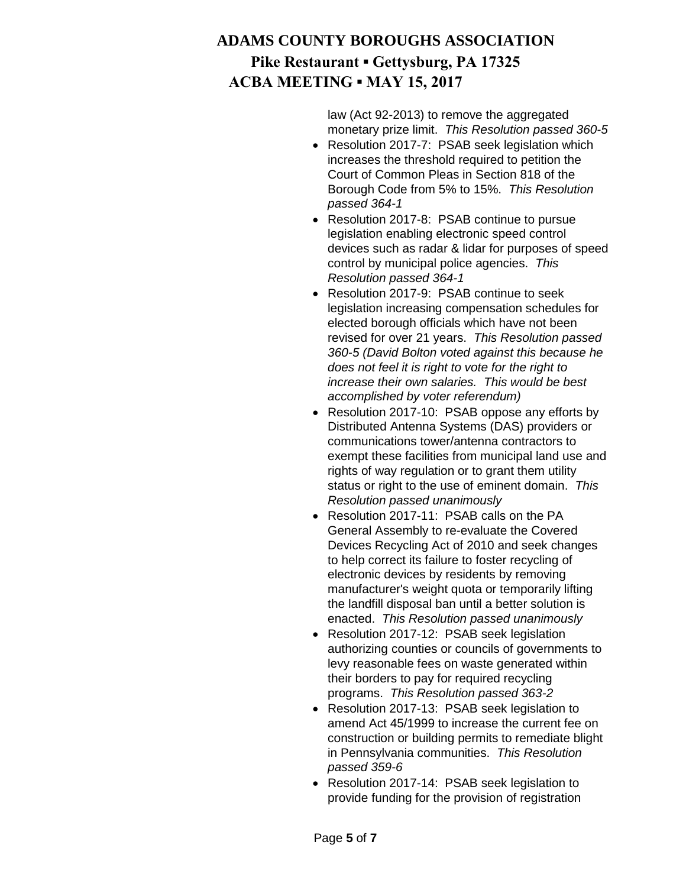law (Act 92-2013) to remove the aggregated monetary prize limit. *This Resolution passed 360-5*

- Resolution 2017-7: PSAB seek legislation which increases the threshold required to petition the Court of Common Pleas in Section 818 of the Borough Code from 5% to 15%. *This Resolution passed 364-1*
- Resolution 2017-8: PSAB continue to pursue legislation enabling electronic speed control devices such as radar & lidar for purposes of speed control by municipal police agencies. *This Resolution passed 364-1*
- Resolution 2017-9: PSAB continue to seek legislation increasing compensation schedules for elected borough officials which have not been revised for over 21 years. *This Resolution passed 360-5 (David Bolton voted against this because he does not feel it is right to vote for the right to increase their own salaries. This would be best accomplished by voter referendum)*
- Resolution 2017-10: PSAB oppose any efforts by Distributed Antenna Systems (DAS) providers or communications tower/antenna contractors to exempt these facilities from municipal land use and rights of way regulation or to grant them utility status or right to the use of eminent domain. *This Resolution passed unanimously*
- Resolution 2017-11: PSAB calls on the PA General Assembly to re-evaluate the Covered Devices Recycling Act of 2010 and seek changes to help correct its failure to foster recycling of electronic devices by residents by removing manufacturer's weight quota or temporarily lifting the landfill disposal ban until a better solution is enacted. *This Resolution passed unanimously*
- Resolution 2017-12: PSAB seek legislation authorizing counties or councils of governments to levy reasonable fees on waste generated within their borders to pay for required recycling programs. *This Resolution passed 363-2*
- Resolution 2017-13: PSAB seek legislation to amend Act 45/1999 to increase the current fee on construction or building permits to remediate blight in Pennsylvania communities. *This Resolution passed 359-6*
- Resolution 2017-14: PSAB seek legislation to provide funding for the provision of registration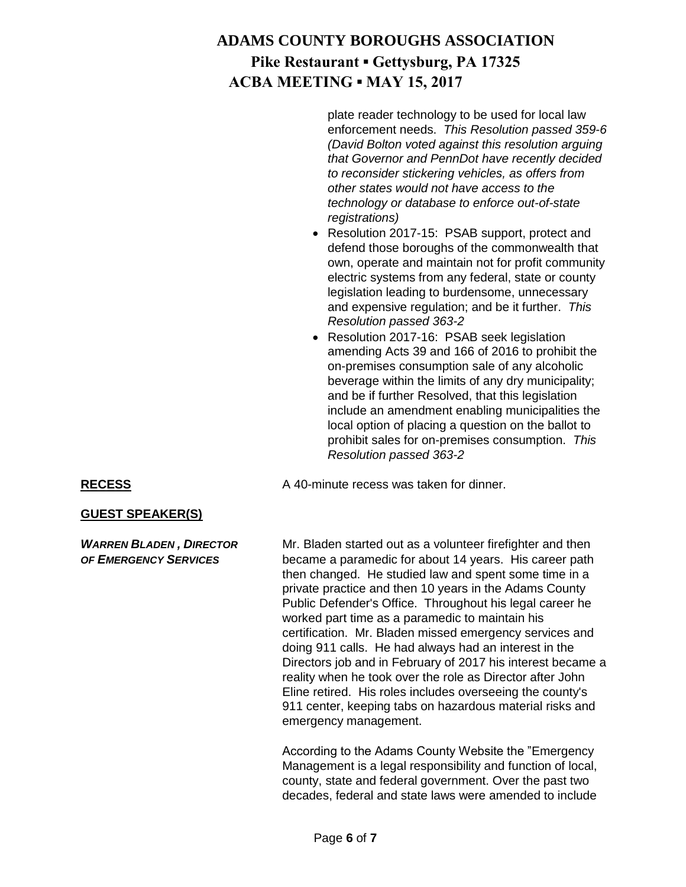plate reader technology to be used for local law enforcement needs. *This Resolution passed 359-6 (David Bolton voted against this resolution arguing that Governor and PennDot have recently decided to reconsider stickering vehicles, as offers from other states would not have access to the technology or database to enforce out-of-state registrations)*

- Resolution 2017-15: PSAB support, protect and defend those boroughs of the commonwealth that own, operate and maintain not for profit community electric systems from any federal, state or county legislation leading to burdensome, unnecessary and expensive regulation; and be it further. *This Resolution passed 363-2*
- Resolution 2017-16: PSAB seek legislation amending Acts 39 and 166 of 2016 to prohibit the on-premises consumption sale of any alcoholic beverage within the limits of any dry municipality; and be if further Resolved, that this legislation include an amendment enabling municipalities the local option of placing a question on the ballot to prohibit sales for on-premises consumption. *This Resolution passed 363-2*

# RECESS A 40-minute recess was taken for dinner.

#### **GUEST SPEAKER(S)**

**WARREN BLADEN, DIRECTOR** Mr. Bladen started out as a volunteer firefighter and then *OF EMERGENCY SERVICES* became a paramedic for about 14 years. His career path then changed. He studied law and spent some time in a private practice and then 10 years in the Adams County Public Defender's Office. Throughout his legal career he worked part time as a paramedic to maintain his certification. Mr. Bladen missed emergency services and doing 911 calls. He had always had an interest in the Directors job and in February of 2017 his interest became a reality when he took over the role as Director after John Eline retired. His roles includes overseeing the county's 911 center, keeping tabs on hazardous material risks and emergency management.

> According to the Adams County Website the "Emergency Management is a legal responsibility and function of local, county, state and federal government. Over the past two decades, federal and state laws were amended to include